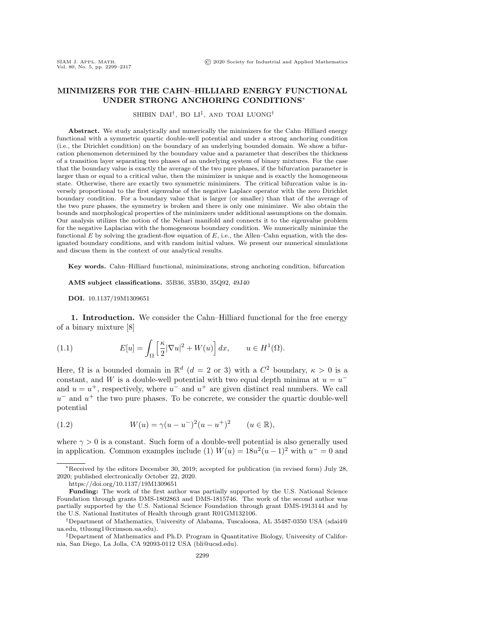## MINIMIZERS FOR THE CAHN--HILLIARD ENERGY FUNCTIONAL UNDER STRONG ANCHORING CONDITIONS\*

SHIBIN DAI $^\dagger,$  BO LI $^\ddagger,$  and TOAI LUONG $^\dagger$ 

Abstract. We study analytically and numerically the minimizers for the Cahn-Hilliard energy functional with a symmetric quartic double-well potential and under a strong anchoring condition (i.e., the Dirichlet condition) on the boundary of an underlying bounded domain. We show a bifurcation phenomenon determined by the boundary value and a parameter that describes the thickness of a transition layer separating two phases of an underlying system of binary mixtures. For the case that the boundary value is exactly the average of the two pure phases, if the bifurcation parameter is larger than or equal to a critical value, then the minimizer is unique and is exactly the homogeneous state. Otherwise, there are exactly two symmetric minimizers. The critical bifurcation value is inversely proportional to the first eigenvalue of the negative Laplace operator with the zero Dirichlet boundary condition. For a boundary value that is larger (or smaller) than that of the average of the two pure phases, the symmetry is broken and there is only one minimizer. We also obtain the bounds and morphological properties of the minimizers under additional assumptions on the domain. Our analysis utilizes the notion of the Nehari manifold and connects it to the eigenvalue problem for the negative Laplacian with the homogeneous boundary condition. We numerically minimize the functional E by solving the gradient-flow equation of E, i.e., the Allen-Cahn equation, with the designated boundary conditions, and with random initial values. We present our numerical simulations and discuss them in the context of our analytical results.

Key words. Cahn--Hilliard functional, minimizations, strong anchoring condition, bifurcation

AMS subject classifications. 35B36, 35B30, 35Q92, 49J40

DOI. 10.1137/19M1309651

**1.** Introduction. We consider the Cahn-Hilliard functional for the free energy  $\mathrm{of}$  a binary mixture  $\mathrm{[8]}$ 

<span id="page-0-0"></span>(1.1) 
$$
E[u] = \int_{\Omega} \left[ \frac{\kappa}{2} |\nabla u|^2 + W(u) \right] dx, \qquad u \in H^1(\Omega).
$$

Here,  $\Omega$  is a bounded domain in  $\mathbb{R}^d$  ( $d = 2$  or 3) with a  $C^2$  boundary,  $\kappa > 0$  is a constant, and W is a double-well potential with two equal depth minima at  $u = u^{-}$ and  $u = u^+$ , respectively, where  $u^-$  and  $u^+$  are given distinct real numbers. We call  $u^{-}$  and  $u^{+}$  the two pure phases. To be concrete, we consider the quartic double-well  $\mathrm{potential}$ 

<span id="page-0-1"></span>(1.2) 
$$
W(u) = \gamma (u - u^{-})^{2} (u - u^{+})^{2} \qquad (u \in \mathbb{R}),
$$

where  $\gamma > 0$  is a constant. Such form of a double-well potential is also generally used in application. Common examples include (1)  $W(u) = 18u^2(u-1)^2$  with  $u^- = 0$  and

<sup>\*</sup>Received by the editors December 30, 2019; accepted for publication (in revised form) July 28, 2020; published electronically October 22, 2020.

<https://doi.org/10.1137/19M1309651>

Funding: The work of the first author was partially supported by the U.S. National Science Foundation through grants DMS-1802863 and DMS-1815746. The work of the second author was partially supported by the U.S. National Science Foundation through grant DMS-1913144 and by the U.S. National Institutes of Health through grant R01GM132106.

<sup>&</sup>lt;sup>†</sup>Department of Mathematics, University of Alabama, Tuscaloosa, AL 35487-0350 USA [\(sdai4@](mailto:sdai4@ua.edu) [ua.edu,](mailto:sdai4@ua.edu) [ttluong1@crimson.ua.edu\)](mailto:ttluong1@crimson.ua.edu).

<sup>&</sup>lt;sup>‡</sup>Department of Mathematics and Ph.D. Program in Quantitative Biology, University of California, San Diego, La Jolla, CA 92093-0112 USA [\(bli@ucsd.edu\)](mailto:bli@ucsd.edu).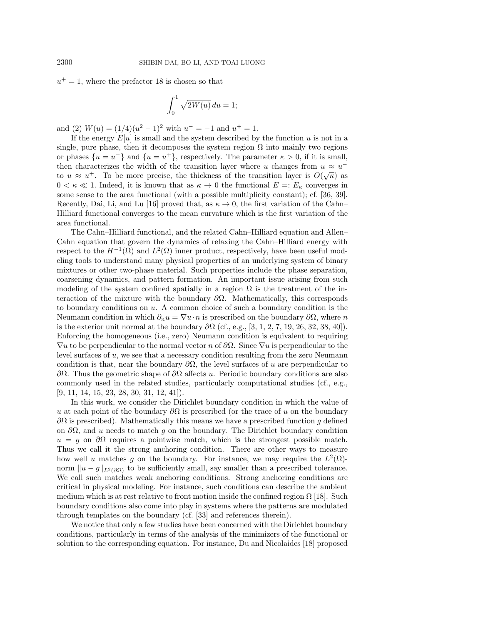$u^+=1$ , where the prefactor 18 is chosen so that

$$
\int_0^1 \sqrt{2W(u)} \, du = 1;
$$

and (2)  $W(u) = (1/4)(u^2 - 1)^2$  with  $u^- = -1$  and  $u^+ = 1$ .

If the energy  $E[u]$  is small and the system described by the function u is not in a single, pure phase, then it decomposes the system region  $\Omega$  into mainly two regions or phases  $\{u = u^{-}\}\$ and  $\{u = u^{+}\}\$ , respectively. The parameter  $\kappa > 0$ , if it is small, then characterizes the width of the transition layer where u changes from  $u \approx u^{-1}$ to  $u \approx u^+$ . To be more precise, the thickness of the transition layer is  $O(\sqrt{\kappa})$  as  $0 < \kappa \ll 1$ . Indeed, it is known that as  $\kappa \to 0$  the functional  $E =: E_{\kappa}$  converges in some sense to the area functional (with a possible multiplicity constant); cf. [\[36,](#page-18-0) [39\]](#page-18-1). Recently, Dai, Li, and Lu [\[16\]](#page-17-1) proved that, as  $\kappa \to 0$ , the first variation of the Cahn-Hilliard functional converges to the mean curvature which is the first variation of the  $\mathrm{area}\mathrm{~functional}\mathrm{.}$ 

The Cahn-Hilliard functional, and the related Cahn-Hilliard equation and Allen-Cahn equation that govern the dynamics of relaxing the Cahn–Hilliard energy with respect to the  $H^{-1}(\Omega)$  and  $L^2(\Omega)$  inner product, respectively, have been useful modeling tools to understand many physical properties of an underlying system of binary mixtures or other two-phase material. Such properties include the phase separation, coarsening dynamics, and pattern formation. An important issue arising from such modeling of the system confined spatially in a region  $\Omega$  is the treatment of the interaction of the mixture with the boundary  $\partial\Omega$ . Mathematically, this corresponds to boundary conditions on  $u$ . A common choice of such a boundary condition is the Neumann condition in which  $\partial_n u = \nabla u \cdot n$  is prescribed on the boundary  $\partial \Omega$ , where n is the exterior unit normal at the boundary  $\partial\Omega$  (cf., e.g., [\[3,](#page-17-2) [1,](#page-17-3) [2,](#page-17-4) [7,](#page-17-5) [19,](#page-17-6) [26,](#page-18-2) [32,](#page-18-3) [38,](#page-18-4) [40\]](#page-18-5)). Enforcing the homogeneous (i.e., zero) Neumann condition is equivalent to requiring  $\nabla u$  to be perpendicular to the normal vector n of  $\partial \Omega$ . Since  $\nabla u$  is perpendicular to the level surfaces of  $u$ , we see that a necessary condition resulting from the zero Neumann condition is that, near the boundary  $\partial\Omega$ , the level surfaces of u are perpendicular to  $\partial\Omega$ . Thus the geometric shape of  $\partial\Omega$  affects u. Periodic boundary conditions are also commonly used in the related studies, particularly computational studies (cf., e.g., [\[9,](#page-17-7) [11,](#page-17-8) [14,](#page-17-9) [15,](#page-17-10) [23,](#page-17-11) [28,](#page-18-6) [30,](#page-18-7) [31,](#page-18-8) [12,](#page-17-12) [41\]](#page-18-9)).

In this work, we consider the Dirichlet boundary condition in which the value of u at each point of the boundary  $\partial\Omega$  is prescribed (or the trace of u on the boundary  $\partial\Omega$  is prescribed). Mathematically this means we have a prescribed function g defined on  $\partial\Omega$ , and u needs to match g on the boundary. The Dirichlet boundary condition  $u = q$  on  $\partial\Omega$  requires a pointwise match, which is the strongest possible match. Thus we call it the strong anchoring condition. There are other ways to measure how well u matches g on the boundary. For instance, we may require the  $L^2(\Omega)$ norm  $||u - g||_{L^2(\partial\Omega)}$  to be sufficiently small, say smaller than a prescribed tolerance. We call such matches weak anchoring conditions. Strong anchoring conditions are critical in physical modeling. For instance, such conditions can describe the ambient medium which is at rest relative to front motion inside the confined region  $\Omega$  [\[18\]](#page-17-13). Such boundary conditions also come into play in systems where the patterns are modulated through templates on the boundary (cf. [\[33\]](#page-18-10) and references therein).

We notice that only a few studies have been concerned with the Dirichlet boundary conditions, particularly in terms of the analysis of the minimizers of the functional or solution to the corresponding equation. For instance, Du and Nicolaides [\[18\]](#page-17-13) proposed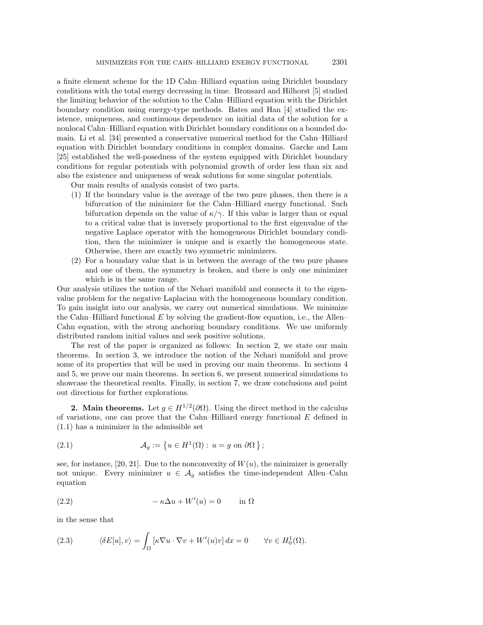a finite element scheme for the 1D Cahn-Hilliard equation using Dirichlet boundary conditions with the total energy decreasing in time. Bronsard and Hilhorst [\[5\]](#page-17-14) studied the limiting behavior of the solution to the Cahn-Hilliard equation with the Dirichlet boundary condition using energy-type methods. Bates and Han [\[4\]](#page-17-15) studied the existence, uniqueness, and continuous dependence on initial data of the solution for a nonlocal Cahn-Hilliard equation with Dirichlet boundary conditions on a bounded do-main. Li et al. [\[34\]](#page-18-11) presented a conservative numerical method for the Cahn-Hilliard equation with Dirichlet boundary conditions in complex domains. Garcke and Lam [\[25\]](#page-18-12) established the well-posedness of the system equipped with Dirichlet boundary conditions for regular potentials with polynomial growth of order less than six and also the existence and uniqueness of weak solutions for some singular potentials.

Our main results of analysis consist of two parts.

- (1) If the boundary value is the average of the two pure phases, then there is a bifurcation of the minimizer for the Cahn–Hilliard energy functional. Such bifurcation depends on the value of  $\kappa/\gamma$ . If this value is larger than or equal to a critical value that is inversely proportional to the first eigenvalue of the negative Laplace operator with the homogeneous Dirichlet boundary condition, then the minimizer is unique and is exactly the homogeneous state. Otherwise, there are exactly two symmetric minimizers.
- (2) For a boundary value that is in between the average of the two pure phases and one of them, the symmetry is broken, and there is only one minimizer which is in the same range.

Our analysis utilizes the notion of the Nehari manifold and connects it to the eigenvalue problem for the negative Laplacian with the homogeneous boundary condition. To gain insight into our analysis, we carry out numerical simulations. We minimize the Cahn-Hilliard functional  $E$  by solving the gradient-flow equation, i.e., the Allen-Cahn equation, with the strong anchoring boundary conditions. We use uniformly distributed random initial values and seek positive solutions.

The rest of the paper is organized as follows: In section [2,](#page-2-0) we state our main theorems. In section [3,](#page-5-0) we introduce the notion of the Nehari manifold and prove some of its properties that will be used in proving our main theorems. In sections [4](#page-8-0) and [5,](#page-12-0) we prove our main theorems. In section [6,](#page-13-0) we present numerical simulations to showcase the theoretical results. Finally, in section [7,](#page-16-0) we draw conclusions and point out directions for further explorations.

<span id="page-2-0"></span>**2.** Main theorems. Let  $g \in H^{1/2}(\partial\Omega)$ . Using the direct method in the calculus of variations, one can prove that the Cahn-Hilliard energy functional  $E$  defined in  $(1.1)$  has a minimizer in the admissible set

(2.1) 
$$
\mathcal{A}_g := \left\{ u \in H^1(\Omega) : u = g \text{ on } \partial \Omega \right\};
$$

see, for instance, [\[20,](#page-17-16) [21\]](#page-17-17). Due to the nonconvexity of  $W(u)$ , the minimizer is generally not unique. Every minimizer  $u \in \mathcal{A}_g$  satisfies the time-independent Allen-Cahn  $\mathrm{equation}$ 

<span id="page-2-2"></span>(2.2) 
$$
-\kappa \Delta u + W'(u) = 0 \quad \text{in } \Omega
$$

 $\mathrm{in}\; \mathrm{the}\; \mathrm{sense}\; \mathrm{that}$ 

<span id="page-2-1"></span>(2.3) 
$$
\langle \delta E[u], v \rangle = \int_{\Omega} \left[ \kappa \nabla u \cdot \nabla v + W'(u)v \right] dx = 0 \quad \forall v \in H_0^1(\Omega).
$$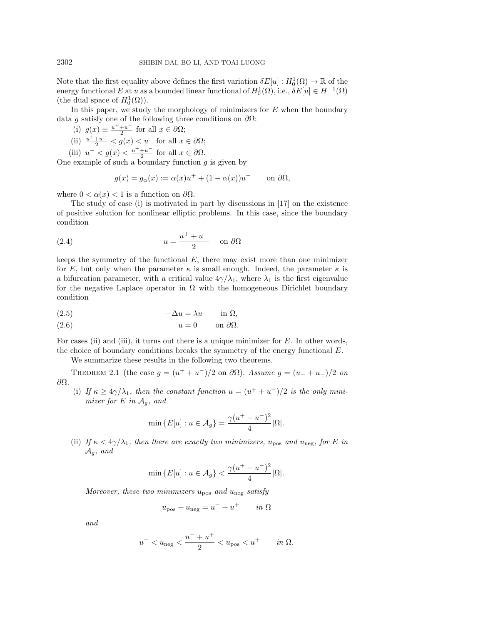Note that the first equality above defines the first variation  $\delta E[u]: H_0^1(\Omega) \to \mathbb{R}$  of the energy functional E at u as a bounded linear functional of  $H_0^1(\Omega)$ , i.e.,  $\delta E[u] \in H^{-1}(\Omega)$ (the dual space of  $H_0^1(\Omega)$ ).

In this paper, we study the morphology of minimizers for  $E$  when the boundary data g satisfy one of the following three conditions on  $\partial\Omega$ :

- $(i)$   $g(x) \equiv \frac{u^+ + u^-}{2}$  $\frac{+u}{2}$  for all  $x \in \partial \Omega ;$
- (ii)  $\frac{u^+ + u^-}{2} < g(x) < u^+$  for all  $x \in \partial \Omega ;$
- (iii)  $u^- < g(x) < \frac{u^+ + u^-}{2}$  $\frac{+u}{2}$  for all  $x \in \partial \Omega$ .

One example of such a boundary function  $g$  is given by

$$
g(x) = g_{\alpha}(x) := \alpha(x)u^{+} + (1 - \alpha(x))u^{-} \quad \text{on } \partial\Omega,
$$

where  $0 < \alpha (x) < 1$  is a function on  $\partial \Omega$ .

The study of case (i) is motivated in part by discussions in  $[17]$  on the existence of positive solution for nonlinear elliptic problems. In this case, since the boundary  $\mathrm{condition}$ 

(2.4) 
$$
u = \frac{u^+ + u^-}{2} \quad \text{on } \partial\Omega
$$

keeps the symmetry of the functional  $E$ , there may exist more than one minimizer for E, but only when the parameter  $\kappa$  is small enough. Indeed, the parameter  $\kappa$  is a bifurcation parameter, with a critical value  $4\gamma/\lambda_1$ , where  $\lambda_1$  is the first eigenvalue for the negative Laplace operator in  $\Omega$  with the homogeneous Dirichlet boundary  $\mathrm{condition}$ 

<span id="page-3-2"></span><span id="page-3-1"></span>
$$
(2.5) \t -\Delta u = \lambda u \t \text{in } \Omega,
$$

$$
(2.6) \t\t u = 0 \t on \partial\Omega.
$$

For cases (ii) and (iii), it turns out there is a unique minimizer for  $E$ . In other words, the choice of boundary conditions breaks the symmetry of the energy functional  $E$ .

We summarize these results in the following two theorems.

<span id="page-3-0"></span>THEOREM 2.1 (the case  $g = (u^+ + u^-)/2$  on  $\partial \Omega$ ). Assume  $g = (u_+ + u_-)/2$  on  $\partial \Omega$ .

(i) If  $\kappa \geq 4\gamma / \lambda _1$ , then the constant function  $u = (u^+ + u^-)/2$  is the only minimizer for  $E$  in  $\mathcal{A}_q$ , and

$$
\min \{ E[u] : u \in A_g \} = \frac{\gamma (u^+ - u^-)^2}{4} |\Omega|.
$$

(ii) If  $\kappa < 4\gamma / \lambda_1$ , then there are exactly two minimizers,  $u_\mathrm{pos}$  and  $u_\mathrm{neg}$ , for E in  $\mathcal{A}_q$ , and

$$
\min\left\{E[u]:u\in\mathcal{A}_g\right\}<\frac{\gamma(u^+-u^-)^2}{4}|\Omega|.
$$

Moreover, these two minimizers  $u_\mathrm{pos}$  and  $u_\mathrm{neg}$  satisfy

$$
u_{\text{pos}} + u_{\text{neg}} = u^- + u^+ \qquad in \ \Omega
$$

and

$$
u^{-} < u_{\text{neg}} < \frac{u^{-} + u^{+}}{2} < u_{\text{pos}} < u^{+}
$$
 in  $\Omega$ .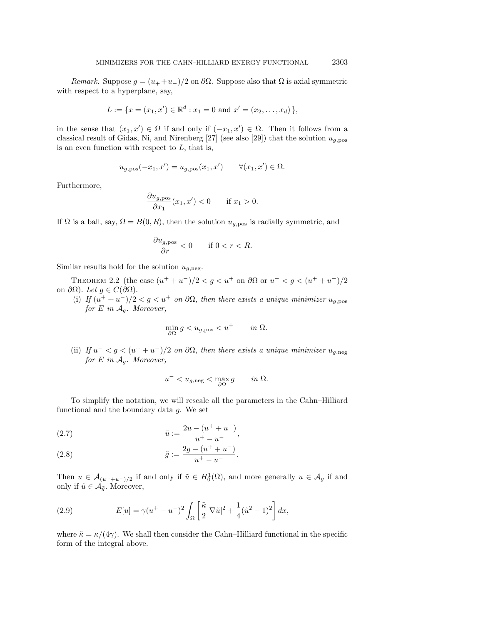Remark. Suppose  $g = (u_+ + u_-)/2$  on  $\partial\Omega$ . Suppose also that  $\Omega$  is axial symmetric with respect to a hyperplane, say,

$$
L := \{ x = (x_1, x') \in \mathbb{R}^d : x_1 = 0 \text{ and } x' = (x_2, \dots, x_d) \},
$$

in the sense that  $(x_1, x') \in \Omega$  if and only if  $(-x_1, x') \in \Omega$ . Then it follows from a classical result of Gidas, Ni, and Nirenberg [\[27\]](#page-18-13) (see also [\[29\]](#page-18-14)) that the solution  $u_{g, \text{pos}}$ is an even function with respect to  $L$ , that is,

$$
u_{g,\text{pos}}(-x_1, x') = u_{g,\text{pos}}(x_1, x') \qquad \forall (x_1, x') \in \Omega.
$$

 $\mathrm{Furthermore},$ 

$$
\frac{\partial u_{g,\text{pos}}}{\partial x_1}(x_1, x') < 0 \qquad \text{if } x_1 > 0.
$$

If  $\Omega$  is a ball, say,  $\Omega = B(0, R)$ , then the solution  $u_{q, \text{pos}}$  is radially symmetric, and

$$
\frac{\partial u_{g,\text{pos}}}{\partial r} < 0 \qquad \text{if } 0 < r < R.
$$

Similar results hold for the solution  $u_{q,\text{neg}}$ .

<span id="page-4-3"></span>THEOREM 2.2 (the case  $(u^+ + u^-)/2 < g < u^+$  on  $\partial \Omega$  or  $u^- < g < (u^+ + u^)/2$ on  $\partial \Omega$ ). Let  $g \in C(\partial \Omega )$ .

(i) If  $(u^+ + u^-)/2 < g < u^+$  on  $\partial \Omega$ , then there exists a unique minimizer  $u_{g,\mathrm{pos}}$ for E in  $\mathcal{A}_q$ . Moreover,

$$
\min_{\partial \Omega} g < u_{g,\text{pos}} < u^+ \qquad \text{in } \Omega.
$$

(ii) If  $u^- < g < (u^+ + u^-)/2$  on  $\partial\Omega$ , then there exists a unique minimizer  $u_{g,\mathrm{neg}}$ for E in  $\mathcal{A}_q$ . Moreover,

$$
u^{-} < u_{g,\text{neg}} < \max_{\partial \Omega} g \qquad \text{in } \Omega.
$$

To simplify the notation, we will rescale all the parameters in the Cahn–Hilliard functional and the boundary data  $q$ . We set

<span id="page-4-0"></span>(2.7) 
$$
\tilde{u} := \frac{2u - (u^+ + u^-)}{u^+ - u^-},
$$

<span id="page-4-1"></span>(2.8) 
$$
\tilde{g} := \frac{2g - (u^+ + u^-)}{u^+ - u^-}.
$$

Then  $u \in \mathcal{A}_{(u^+ + u^-)/2}$  if and only if  $\tilde{u} \in H_0^1(\Omega)$ , and more generally  $u \in \mathcal{A}_g$  if and only if  $\tilde{u} \in \mathcal{A}_{\tilde{g}}$ . Moreover,

<span id="page-4-2"></span>(2.9) 
$$
E[u] = \gamma (u^+ - u^-)^2 \int_{\Omega} \left[ \frac{\tilde{\kappa}}{2} |\nabla \tilde{u}|^2 + \frac{1}{4} (\tilde{u}^2 - 1)^2 \right] dx,
$$

where  $\tilde{\kappa} = \kappa/(4\gamma)$ . We shall then consider the Cahn-Hilliard functional in the specific form of the integral above.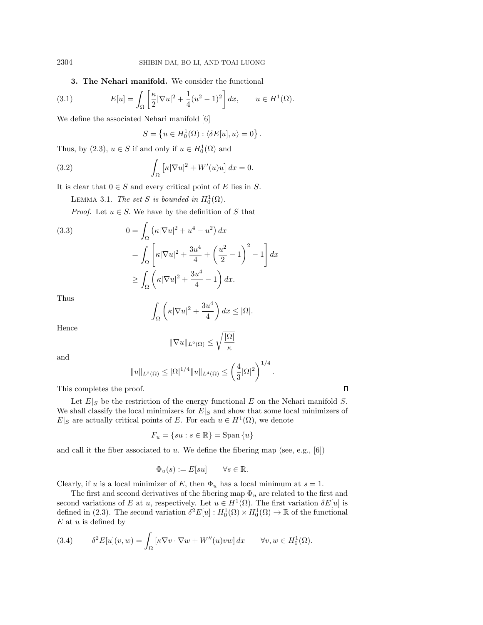<span id="page-5-3"></span><span id="page-5-0"></span>3. The Nehari manifold. We consider the functional

(3.1) 
$$
E[u] = \int_{\Omega} \left[ \frac{\kappa}{2} |\nabla u|^2 + \frac{1}{4} (u^2 - 1)^2 \right] dx, \qquad u \in H^1(\Omega).
$$

We define the associated Nehari manifold [\[6\]](#page-17-19)

$$
S = \left\{ u \in H_0^1(\Omega) : \langle \delta E[u], u \rangle = 0 \right\}.
$$

Thus, by [\(2.3\)](#page-2-1),  $u \in S$  if and only if  $u \in H_0^1(\Omega)$  and

<span id="page-5-1"></span>(3.2) 
$$
\int_{\Omega} \left[ \kappa |\nabla u|^2 + W'(u)u \right] dx = 0.
$$

It is clear that  $0 \in S$  and every critical point of E lies in S.

LEMMA 3.1. The set S is bounded in  $H_0^1(\Omega)$ .

*Proof.* Let  $u \in S$ . We have by the definition of S that

(3.3)  
\n
$$
0 = \int_{\Omega} \left( \kappa |\nabla u|^2 + u^4 - u^2 \right) dx
$$
\n
$$
= \int_{\Omega} \left[ \kappa |\nabla u|^2 + \frac{3u^4}{4} + \left( \frac{u^2}{2} - 1 \right)^2 - 1 \right] dx
$$
\n
$$
\geq \int_{\Omega} \left( \kappa |\nabla u|^2 + \frac{3u^4}{4} - 1 \right) dx.
$$

 $\mathrm{Thus}\quad$ 

$$
\int_{\Omega} \left( \kappa |\nabla u|^2 + \frac{3u^4}{4} \right) dx \leq |\Omega|.
$$

 $\mathrm{Hence}$ 

$$
\|\nabla u\|_{L^2(\Omega)} \le \sqrt{\frac{|\Omega|}{\kappa}}
$$

 $\mathrm{and}\quad % \mathrm{and}\quad % \mathrm{and}\quad % \mathrm{and}\quad % \mathrm{and}\quad % \mathrm{and}\quad % \mathrm{and}\quad % \mathrm{and}\quad % \mathrm{and}\quad % \mathrm{and}\quad % \mathrm{and}\quad % \mathrm{and}\quad % \mathrm{and}\quad % \mathrm{and}\quad % \mathrm{and}\quad % \mathrm{and}\quad % \mathrm{and}\quad % \mathrm{and}\quad % \mathrm{and}\quad % \mathrm{and}\quad % \mathrm{and}\quad % \mathrm{and}\quad % \mathrm{and}\quad % \mathrm{and}\quad % \mathrm{and}\quad % \mathrm{and}\quad % \mathrm{and}\quad % \mathrm{and}\quad % \mathrm{and}\quad % \mathrm{and}\quad % \mathrm{and}\quad % \mathrm{$ 

$$
||u||_{L^{2}(\Omega)} \leq |\Omega|^{1/4} ||u||_{L^{4}(\Omega)} \leq \left(\frac{4}{3} |\Omega|^{2}\right)^{1/4}.
$$

 $\Box$ 

This completes the proof.

Let  $E|_S$  be the restriction of the energy functional E on the Nehari manifold S. We shall classify the local minimizers for  $E|_S$  and show that some local minimizers of  $E|_S$  are actually critical points of E. For each  $u \in H^1(\Omega)$ , we denote

$$
F_u = \{su : s \in \mathbb{R}\} = \text{Span}\{u\}
$$

and call it the fiber associated to  $u$ . We define the fibering map (see, e.g., [\[6\]](#page-17-19))

$$
\Phi_u(s) := E[su] \qquad \forall s \in \mathbb{R}.
$$

Clearly, if u is a local minimizer of E, then  $\Phi_u$  has a local minimum at  $s = 1$ .

The first and second derivatives of the fibering map  $\Phi_u$  are related to the first and second variations of E at u, respectively. Let  $u \in H^1(\Omega)$ . The first variation  $\delta E[u]$  is defined in [\(2.3\)](#page-2-1). The second variation  $\delta^2 E[u]: H_0^1(\Omega) \times H_0^1(\Omega) \to \mathbb{R}$  of the functional  $E$  at  $u$  is defined by

<span id="page-5-2"></span>(3.4) 
$$
\delta^2 E[u](v, w) = \int_{\Omega} \left[ \kappa \nabla v \cdot \nabla w + W''(u)vw \right] dx \quad \forall v, w \in H_0^1(\Omega).
$$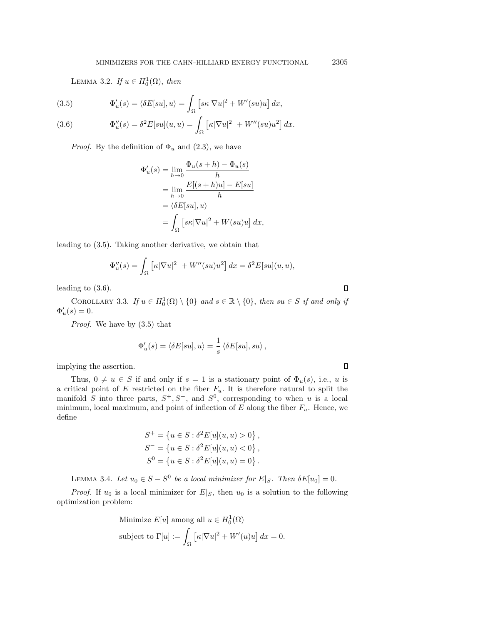LEMMA 3.2. If  $u \in H_0^1(\Omega)$ , then

<span id="page-6-0"></span>(3.5) 
$$
\Phi'_u(s) = \langle \delta E[su], u \rangle = \int_{\Omega} \left[ s\kappa |\nabla u|^2 + W'(su)u \right] dx,
$$

<span id="page-6-1"></span>(3.6) 
$$
\Phi_u''(s) = \delta^2 E[su](u, u) = \int_{\Omega} \left[ \kappa |\nabla u|^2 + W''(su)u^2 \right] dx.
$$

*Proof.* By the definition of  $\Phi_u$  and [\(2.3\)](#page-2-1), we have

$$
\Phi'_u(s) = \lim_{h \to 0} \frac{\Phi_u(s+h) - \Phi_u(s)}{h}
$$
  
= 
$$
\lim_{h \to 0} \frac{E[(s+h)u] - E[su]}{h}
$$
  
= 
$$
\langle \delta E[su], u \rangle
$$
  
= 
$$
\int_{\Omega} [s\kappa |\nabla u|^2 + W(su)u] dx,
$$

leading to  $(3.5)$ . Taking another derivative, we obtain that

$$
\Phi_u''(s) = \int_{\Omega} \left[ \kappa |\nabla u|^2 + W''(su)u^2 \right] dx = \delta^2 E[su](u, u),
$$

leading to  $(3.6)$ .

<span id="page-6-2"></span>COROLLARY 3.3. If  $u \in H_0^1(\Omega) \setminus \{0\}$  and  $s \in \mathbb{R} \setminus \{0\}$ , then  $su \in S$  if and only if  $\Phi'_u(s) = 0.$ 

*Proof.* We have by  $(3.5)$  that

$$
\Phi_u'(s) = \langle \delta E[su],u\rangle = \frac{1}{s}\left\langle \delta E[su],su\right\rangle,
$$

 $\mathrm{implying}\; \mathrm{the}\; \mathrm{assertion}.$ 

Thus,  $0 \neq u \in S$  if and only if  $s = 1$  is a stationary point of  $\Phi_u(s)$ , i.e., u is a critical point of E restricted on the fiber  $F_u$ . It is therefore natural to split the manifold S into three parts,  $S^+, S^-$ , and  $S^0$ , corresponding to when u is a local minimum, local maximum, and point of inflection of  $E$  along the fiber  $F_u$ . Hence, we  $\mathrm{define}$ 

$$
S^{+} = \{u \in S : \delta^{2} E[u](u, u) > 0\},\
$$
  
\n
$$
S^{-} = \{u \in S : \delta^{2} E[u](u, u) < 0\},\
$$
  
\n
$$
S^{0} = \{u \in S : \delta^{2} E[u](u, u) = 0\}.
$$

LEMMA 3.4. Let  $u_0 \in S - S^0$  be a local minimizer for  $E|_S$ . Then  $\delta E[u_0] = 0$ .

*Proof.* If  $u_0$  is a local minimizer for  $E|_S$ , then  $u_0$  is a solution to the following  $\mathrm{optimization}\mathrm{}\mathrm{problem}\mathrm{:}% \mathbb{C}\mathrm{p}\mathrm{d}\mathrm{p}\mathrm{d}\mathrm{p}\mathrm{d}\mathrm{p}\mathrm{d}\mathrm{p}\mathrm{d}\mathrm{p}\mathrm{d}\mathrm{p}\mathrm{d}\mathrm{p}\mathrm{d}\mathrm{p}\mathrm{d}\mathrm{p}\mathrm{d}\mathrm{p}\mathrm{d}\mathrm{p}\mathrm{d}\mathrm{p}\mathrm{d}\mathrm{p}\mathrm{d}\mathrm{p}\mathrm{d}\mathrm{p}\mathrm{d}\mathrm{p}\mathrm{d}\mathrm{p}\mathrm{d}\mathrm{p}\mathrm{d}\mathrm{p}\mathrm{d}\mathrm{p}\mathrm{d}\mathrm{p}\mathrm{d}\mathrm{p}\mathrm{d}\mathrm{p}\mathrm{d}\mathrm{p}\mathrm{$ 

Minimize 
$$
E[u]
$$
 among all  $u \in H_0^1(\Omega)$   
subject to  $\Gamma[u] := \int_{\Omega} \left[ \kappa |\nabla u|^2 + W'(u)u \right] dx = 0$ .

 $\Box$ 

 $\Box$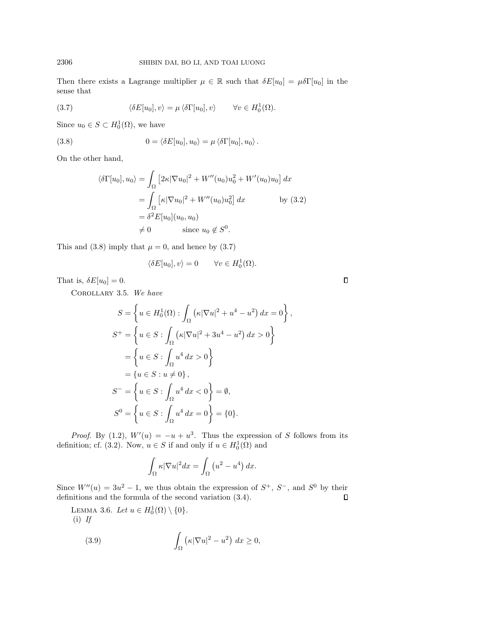Then there exists a Lagrange multiplier  $\mu \in \mathbb{R}$  such that  $\delta E[u_0] = \mu \delta \Gamma[u_0]$  in the  $\mathrm{sense}\,$  that

<span id="page-7-1"></span>(3.7) 
$$
\langle \delta E[u_0], v \rangle = \mu \langle \delta \Gamma[u_0], v \rangle \qquad \forall v \in H_0^1(\Omega).
$$

Since  $u_0 \in S \subset H_0^1(\Omega)$ , we have

<span id="page-7-0"></span>(3.8) 
$$
0 = \langle \delta E[u_0], u_0 \rangle = \mu \langle \delta \Gamma[u_0], u_0 \rangle.
$$

 $\mathrm{On}\; \mathrm{the}\; \mathrm{other}\; \mathrm{hand},$ 

$$
\langle \delta \Gamma[u_0], u_0 \rangle = \int_{\Omega} \left[ 2\kappa |\nabla u_0|^2 + W''(u_0)u_0^2 + W'(u_0)u_0 \right] dx
$$
  
\n
$$
= \int_{\Omega} \left[ \kappa |\nabla u_0|^2 + W''(u_0)u_0^2 \right] dx \qquad \text{by (3.2)}
$$
  
\n
$$
= \delta^2 E[u_0](u_0, u_0)
$$
  
\n
$$
\neq 0 \qquad \text{since } u_0 \notin S^0.
$$

This and [\(3.8\)](#page-7-0) imply that  $\mu = 0$ , and hence by [\(3.7\)](#page-7-1)

$$
\langle \delta E[u_0], v \rangle = 0 \qquad \forall v \in H_0^1(\Omega).
$$

<span id="page-7-3"></span>That is,  $\delta E[u_0] = 0$ .

Corollary 3.5. We have

$$
S = \left\{ u \in H_0^1(\Omega) : \int_{\Omega} (\kappa |\nabla u|^2 + u^4 - u^2) \, dx = 0 \right\},
$$
  
\n
$$
S^+ = \left\{ u \in S : \int_{\Omega} (\kappa |\nabla u|^2 + 3u^4 - u^2) \, dx > 0 \right\}
$$
  
\n
$$
= \left\{ u \in S : \int_{\Omega} u^4 \, dx > 0 \right\}
$$
  
\n
$$
= \left\{ u \in S : u \neq 0 \right\},
$$
  
\n
$$
S^- = \left\{ u \in S : \int_{\Omega} u^4 \, dx < 0 \right\} = \emptyset,
$$
  
\n
$$
S^0 = \left\{ u \in S : \int_{\Omega} u^4 \, dx = 0 \right\} = \{0\}.
$$

*Proof.* By [\(1.2\)](#page-0-1),  $W'(u) = -u + u^3$ . Thus the expression of S follows from its definition; cf. [\(3.2\)](#page-5-1). Now,  $u \in S$  if and only if  $u \in H_0^1(\Omega)$  and

<span id="page-7-2"></span>
$$
\int_{\Omega} \kappa |\nabla u|^2 dx = \int_{\Omega} \left( u^2 - u^4 \right) dx.
$$

Since  $W''(u) = 3u^2 - 1$ , we thus obtain the expression of  $S^+$ ,  $S^-$ , and  $S^0$  by their definitions and the formula of the second variation  $(3.4)$ .  $\Box$ 

<span id="page-7-4"></span>LEMMA 3.6. Let  $u \in H_0^1(\Omega) \setminus \{ 0 \}.$  $(i)$  If

(3.9) 
$$
\int_{\Omega} \left( \kappa |\nabla u|^2 - u^2 \right) dx \ge 0,
$$

 $\Box$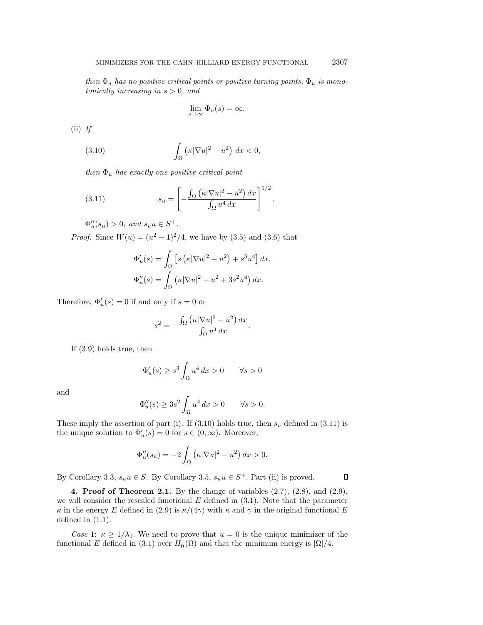then  $\Phi_u$  has no positive critical points or positive turning points,  $\Phi_u$  is monotonically increasing in  $s > 0$ , and

<span id="page-8-1"></span>
$$
\lim_{s \to \infty} \Phi_u(s) = \infty.
$$

 $(i)$  If

(3.10) 
$$
\int_{\Omega} \left( \kappa |\nabla u|^2 - u^2 \right) dx < 0,
$$

then  $\Phi_u$  has exactly one positive critical point

<span id="page-8-2"></span>(3.11) 
$$
s_u = \left[ -\frac{\int_{\Omega} \left( \kappa |\nabla u|^2 - u^2 \right) dx}{\int_{\Omega} u^4 dx} \right]^{1/2},
$$

 $\Phi_u''(s_u) > 0$ , and  $s_u u \in S^+$ .

*Proof.* Since  $W(u) = (u^2 - 1)^2/4$ , we have by [\(3.5\)](#page-6-0) and [\(3.6\)](#page-6-1) that

$$
\Phi'_u(s) = \int_{\Omega} \left[ s \left( \kappa |\nabla u|^2 - u^2 \right) + s^3 u^4 \right] dx,
$$
  

$$
\Phi''_u(s) = \int_{\Omega} \left( \kappa |\nabla u|^2 - u^2 + 3s^2 u^4 \right) dx.
$$

Therefore,  $\Phi'_u(s) = 0$  if and only if  $s = 0$  or

$$
s^{2} = -\frac{\int_{\Omega} (\kappa |\nabla u|^{2} - u^{2}) dx}{\int_{\Omega} u^{4} dx}.
$$

 $\mathrm{If} \ (3.9) \ \mathrm{holds} \ \mathrm{true}, \ \mathrm{then}$  $\mathrm{If} \ (3.9) \ \mathrm{holds} \ \mathrm{true}, \ \mathrm{then}$  $\mathrm{If} \ (3.9) \ \mathrm{holds} \ \mathrm{true}, \ \mathrm{then}$ 

$$
\Phi'_u(s) \ge s^3 \int_{\Omega} u^4 dx > 0 \qquad \forall s > 0
$$

 $\mathrm{and}\;$ 

$$
\Phi_u''(s) \ge 3s^2 \int_{\Omega} u^4 dx > 0 \qquad \forall s > 0.
$$

These imply the assertion of part (i). If [\(3.10\)](#page-8-1) holds true, then  $s_u$  defined in [\(3.11\)](#page-8-2) is the unique solution to  $\Phi'_u(s) = 0$  for  $s \in (0, \infty)$ . Moreover,

$$
\Phi_u''(s_u) = -2 \int_{\Omega} \left( \kappa |\nabla u|^2 - u^2 \right) dx > 0.
$$

By Corollary [3.3,](#page-6-2)  $s_u u \in S$ . By Corollary [3.5,](#page-7-3)  $s_u u \in S^+$ . Part (ii) is proved.

 $\Box$ 

<span id="page-8-0"></span>4. Proof of Theorem [2.1.](#page-3-0) By the change of variables  $(2.7)$ ,  $(2.8)$ , and  $(2.9)$ , we will consider the rescaled functional  $E$  defined in  $(3.1)$ . Note that the parameter  $\kappa$  in the energy E defined in [\(2.9\)](#page-4-2) is  $\kappa/(4\gamma)$  with  $\kappa$  and  $\gamma$  in the original functional E  $\mathrm{defined}\mathrm{in}$   $(1.1).$ 

Case 1:  $\kappa \geq 1/\lambda_1$ . We need to prove that  $u = 0$  is the unique minimizer of the functional E defined in [\(3.1\)](#page-5-3) over  $H_0^1(\Omega)$  and that the minimum energy is  $|\Omega|/4$ .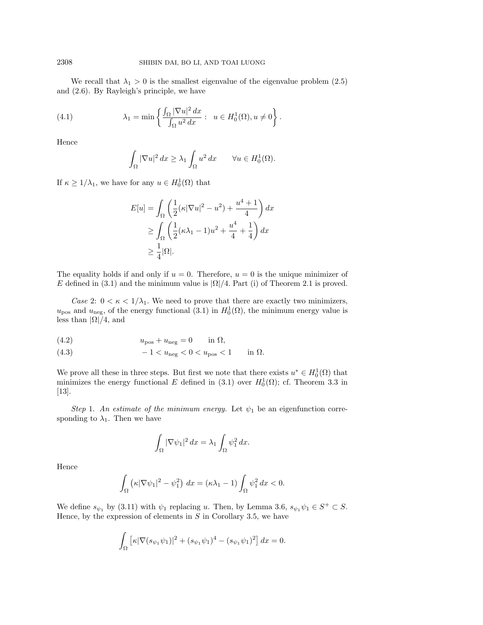We recall that  $\lambda_1 > 0$  is the smallest eigenvalue of the eigenvalue problem [\(2.5\)](#page-3-1) and  $(2.6)$ . By Rayleigh's principle, we have

(4.1) 
$$
\lambda_1 = \min \left\{ \frac{\int_{\Omega} |\nabla u|^2 dx}{\int_{\Omega} u^2 dx} : u \in H_0^1(\Omega), u \neq 0 \right\}.
$$

 $\mathrm{Hence}$ 

$$
\int_{\Omega} |\nabla u|^2 dx \geq \lambda_1 \int_{\Omega} u^2 dx \qquad \forall u \in H_0^1(\Omega).
$$

If  $\kappa \geq 1/\lambda_1$ , we have for any  $u \in H_0^1(\Omega)$  that

$$
E[u] = \int_{\Omega} \left( \frac{1}{2} (\kappa |\nabla u|^2 - u^2) + \frac{u^4 + 1}{4} \right) dx
$$
  
\n
$$
\geq \int_{\Omega} \left( \frac{1}{2} (\kappa \lambda_1 - 1) u^2 + \frac{u^4}{4} + \frac{1}{4} \right) dx
$$
  
\n
$$
\geq \frac{1}{4} |\Omega|.
$$

The equality holds if and only if  $u = 0$ . Therefore,  $u = 0$  is the unique minimizer of E defined in [\(3.1\)](#page-5-3) and the minimum value is  $|\Omega|/4$ . Part (i) of Theorem [2.1](#page-3-0) is proved.

Case 2:  $0 < \kappa < 1/\lambda_1$ . We need to prove that there are exactly two minimizers,  $u_{\text{pos}}$  and  $u_{\text{neg}}$ , of the energy functional [\(3.1\)](#page-5-3) in  $H_0^1(\Omega)$ , the minimum energy value is  $\mathrm{less}$  than  $|\Omega| / 4$ , and

$$
(4.2) \t\t upos + uneg = 0 \t\t in  $\Omega$ ,
$$

$$
(4.3) \qquad \qquad -1 < u_{\text{neg}} < 0 < u_{\text{pos}} < 1 \qquad \text{in } \Omega.
$$

We prove all these in three steps. But first we note that there exists  $u^* \in H_0^1(\Omega)$  that minimizes the energy functional E defined in [\(3.1\)](#page-5-3) over  $H_0^1(\Omega)$ ; cf. Theorem 3.3 in [\[13\]](#page-17-20).

Step 1. An estimate of the minimum energy. Let  $\psi_1$  be an eigenfunction corresponding to  $\lambda_1$ . Then we have

$$
\int_{\Omega} |\nabla \psi_1|^2 dx = \lambda_1 \int_{\Omega} \psi_1^2 dx.
$$

 $\mathrm{Hence}\quad% \mathcal{C}=\mathrm{Hence}\mathcal{C}$ 

$$
\int_{\Omega} \left( \kappa |\nabla \psi_1|^2 - \psi_1^2 \right) dx = (\kappa \lambda_1 - 1) \int_{\Omega} \psi_1^2 dx < 0.
$$

We define  $s_{\psi_1}$  by [\(3.11\)](#page-8-2) with  $\psi_1$  replacing u. Then, by Lemma [3.6,](#page-7-4)  $s_{\psi_1}\psi_1 \in S^+ \subset S$ . Hence, by the expression of elements in  $S$  in Corollary [3.5,](#page-7-3) we have

$$
\int_{\Omega} \left[ \kappa |\nabla (s_{\psi_1} \psi_1)|^2 + (s_{\psi_1} \psi_1)^4 - (s_{\psi_1} \psi_1)^2 \right] dx = 0.
$$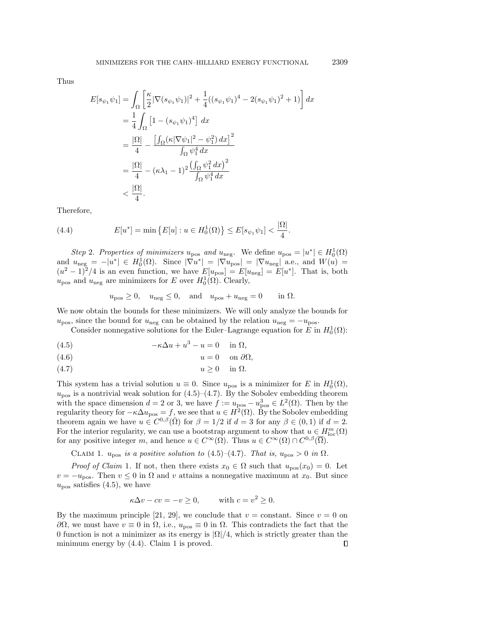$\mathrm{Thus}\quad$ 

$$
E[s_{\psi_1}\psi_1] = \int_{\Omega} \left[ \frac{\kappa}{2} |\nabla(s_{\psi_1}\psi_1)|^2 + \frac{1}{4} ((s_{\psi_1}\psi_1)^4 - 2(s_{\psi_1}\psi_1)^2 + 1) \right] dx
$$
  
\n
$$
= \frac{1}{4} \int_{\Omega} \left[ 1 - (s_{\psi_1}\psi_1)^4 \right] dx
$$
  
\n
$$
= \frac{|\Omega|}{4} - \frac{\left[ \int_{\Omega} (\kappa |\nabla \psi_1|^2 - \psi_1^2) dx \right]^2}{\int_{\Omega} \psi_1^4 dx}
$$
  
\n
$$
= \frac{|\Omega|}{4} - (\kappa \lambda_1 - 1)^2 \frac{\left( \int_{\Omega} \psi_1^2 dx \right)^2}{\int_{\Omega} \psi_1^4 dx}
$$
  
\n
$$
< \frac{|\Omega|}{4}.
$$

 $\mathrm{Therefore},$ 

<span id="page-10-3"></span>(4.4) 
$$
E[u^*] = \min \{ E[u] : u \in H_0^1(\Omega) \} \le E[s_{\psi_1} \psi_1] < \frac{|\Omega|}{4}.
$$

Step 2. Properties of minimizers  $u_{\text{pos}}$  and  $u_{\text{neg}}$ . We define  $u_{\text{pos}} = |u^*| \in H_0^1(\Omega)$ and  $u_{\text{neg}} = -|u^*| \in H_0^1(\Omega)$ . Since  $|\nabla u^*| = |\nabla u_{\text{pos}}| = |\nabla u_{\text{neg}}|$  a.e., and  $W(u) =$  $(u^2-1)^2/4$  is an even function, we have  $E[u_{\text{pos}}] = E[u_{\text{neg}}] = E[u^*]$ . That is, both  $u_{\text{pos}}$  and  $u_{\text{neg}}$  are minimizers for E over  $H_0^1(\Omega)$ . Clearly,

 $\sim$ 

$$
u_{\text{pos}} \ge 0
$$
,  $u_{\text{neg}} \le 0$ , and  $u_{\text{pos}} + u_{\text{neg}} = 0$  in  $\Omega$ .

We now obtain the bounds for these minimizers. We will only analyze the bounds for  $u_{\text{pos}}$ , since the bound for  $u_{\text{neg}}$  can be obtained by the relation  $u_{\text{neg}} = -u_{\text{pos}}$ .

Consider nonnegative solutions for the Euler-Lagrange equation for  $E$  in  $H_0^1(\Omega)$ :

<span id="page-10-0"></span>(4.5) 
$$
-\kappa \Delta u + u^3 - u = 0 \quad \text{in } \Omega,
$$

<span id="page-10-1"></span>
$$
(4.6) \t\t u = 0 \t on \partial\Omega,
$$

$$
(4.7) \t\t u \ge 0 \t\t in  $\Omega$ .
$$

This system has a trivial solution  $u \equiv 0$ . Since  $u_{\text{pos}}$  is a minimizer for E in  $H_0^1(\Omega)$ ,  $u_{\text{pos}}$  is a nontrivial weak solution for [\(4.5\)](#page-10-0)–[\(4.7\)](#page-10-1). By the Sobolev embedding theorem with the space dimension  $d = 2$  or 3, we have  $f := u_{\text{pos}} - u_{\text{pos}}^3 \in L^2(\Omega)$ . Then by the regularity theory for  $-\kappa \Delta u_{\text{pos}} = f$ , we see that  $u \in H^2(\Omega)$ . By the Sobolev embedding theorem again we have  $u \in C^{0,\beta}(\overline{\Omega})$  for  $\beta = 1/2$  if  $d = 3$  for any  $\beta \in (0,1)$  if  $d = 2$ . For the interior regularity, we can use a bootstrap argument to show that  $u \in H_{loc}^m(\Omega)$ for any positive integer m, and hence  $u \in C^{\infty}(\Omega)$ . Thus  $u \in C^{\infty}(\Omega) \cap C^{0,\beta}(\overline{\Omega})$ .

<span id="page-10-2"></span>CLAIM 1.  $u_\mathrm{pos}\mathit{ is a positive solution to } (4.5)-(4.7).$  $u_\mathrm{pos}\mathit{ is a positive solution to } (4.5)-(4.7).$  $u_\mathrm{pos}\mathit{ is a positive solution to } (4.5)-(4.7).$  $u_\mathrm{pos}\mathit{ is a positive solution to } (4.5)-(4.7).$  $u_\mathrm{pos}\mathit{ is a positive solution to } (4.5)-(4.7).$  That is,  $u_\mathrm{pos} > 0$  in  $\Omega$ .

*Proof of Claim* [1](#page-10-2). If not, then there exists  $x_0 \in \Omega$  such that  $u_{\text{pos}}(x_0) = 0$ . Let  $v = -u_{\text{pos}}$ . Then  $v \le 0$  in  $\Omega$  and v attains a nonnegative maximum at  $x_0$ . But since  $u_\mathrm{pos}$  satisfies [\(4.5\)](#page-10-0), we have

$$
\kappa \Delta v - cv = -v \ge 0
$$
, with  $c = v^2 \ge 0$ .

By the maximum principle [\[21,](#page-17-17) [29\]](#page-18-14), we conclude that  $v = constant$ . Since  $v = 0$  on  $\partial\Omega$ , we must have  $v \equiv 0$  in  $\Omega$ , i.e.,  $u_{\text{pos}} \equiv 0$  in  $\Omega$ . This contradicts the fact that the 0 function is not a minimizer as its energy is  $|\Omega|/4$ , which is strictly greater than the minimum energy by  $(4.4)$ . Claim [1](#page-10-2) is proved.  $\Box$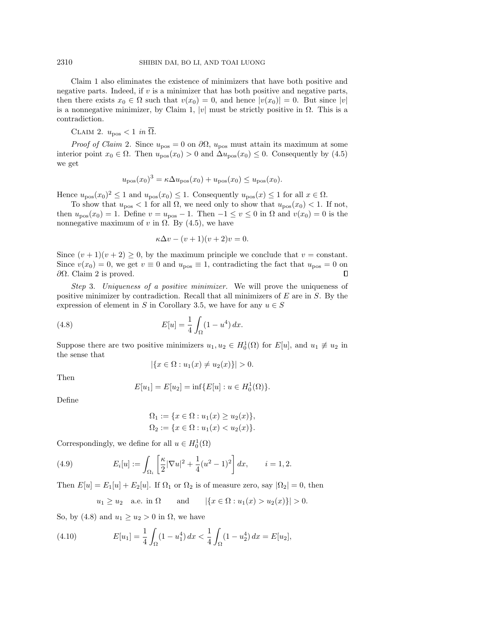Claim [1](#page-10-2) also eliminates the existence of minimizers that have both positive and negative parts. Indeed, if  $v$  is a minimizer that has both positive and negative parts, then there exists  $x_0 \in \Omega$  such that  $v(x_0) = 0$ , and hence  $|v(x_0)| = 0$ . But since  $|v|$ is a nonnegative minimizer, by Claim [1,](#page-10-2) |v| must be strictly positive in  $\Omega$ . This is a  $\mathrm{contradiction}.$ 

<span id="page-11-0"></span>CLAIM 2.  $u_\mathrm{pos} < 1$  in  $\overline{\Omega}$ .

*Proof of Claim [2](#page-11-0).* Since  $u_{\text{pos}} = 0$  on  $\partial\Omega$ ,  $u_{\text{pos}}$  must attain its maximum at some interior point  $x_0 \in \Omega$ . Then  $u_{\text{pos}}(x_0) > 0$  and  $\Delta u_{\text{pos}}(x_0) \leq 0$ . Consequently by [\(4.5\)](#page-10-0)  $\mathrm{we}\ \mathrm{get}$ 

$$
u_{\text{pos}}(x_0)^3 = \kappa \Delta u_{\text{pos}}(x_0) + u_{\text{pos}}(x_0) \le u_{\text{pos}}(x_0).
$$

Hence  $u_{\text{pos}}(x_0)^2 \leq 1$  and  $u_{\text{pos}}(x_0) \leq 1$ . Consequently  $u_{\text{pos}}(x) \leq 1$  for all  $x \in \Omega$ .

To show that  $u_{\text{pos}} < 1$  for all  $\Omega$ , we need only to show that  $u_{\text{pos}}(x_0) < 1$ . If not, then  $u_{\text{pos}}(x_0) = 1$ . Define  $v = u_{\text{pos}} - 1$ . Then  $-1 \le v \le 0$  in  $\Omega$  and  $v(x_0) = 0$  is the nonnegative maximum of v in  $\Omega$ . By [\(4.5\)](#page-10-0), we have

$$
\kappa \Delta v - (v+1)(v+2)v = 0.
$$

Since  $(v+1)(v+2) \ge 0$ , by the maximum principle we conclude that  $v = constant$ . Since  $v(x_0) = 0$ , we get  $v \equiv 0$  and  $u_{\text{pos}} \equiv 1$ , contradicting the fact that  $u_{\text{pos}} = 0$  on  $\partial \Omega$ . Claim [2](#page-11-0) is proved.  $\Box$ 

Step 3. Uniqueness of a positive minimizer. We will prove the uniqueness of positive minimizer by contradiction. Recall that all minimizers of  $E$  are in  $S$ . By the expression of element in S in Corollary [3.5,](#page-7-3) we have for any  $u \in S$ 

<span id="page-11-1"></span>(4.8) 
$$
E[u] = \frac{1}{4} \int_{\Omega} (1 - u^4) dx.
$$

Suppose there are two positive minimizers  $u_1, u_2 \in H_0^1(\Omega)$  for  $E[u]$ , and  $u_1 \neq u_2$  in  $\mathrm{the}\ \mathrm{sense}\ \mathrm{that}$ 

$$
|\{x \in \Omega : u_1(x) \neq u_2(x)\}| > 0.
$$

 $\mathrm{Then}$ 

$$
E[u_1] = E[u_2] = \inf \{ E[u] : u \in H_0^1(\Omega) \}.
$$

 $\mathrm{Define}% \left( \mathcal{N}\right) \equiv\mathrm{Der}\left( \mathcal{N}\right)$ 

$$
\Omega_1 := \{ x \in \Omega : u_1(x) \ge u_2(x) \},
$$
  
\n
$$
\Omega_2 := \{ x \in \Omega : u_1(x) < u_2(x) \}.
$$

Correspondingly, we define for all  $u \in H_0^1(\Omega)$ 

(4.9) 
$$
E_i[u] := \int_{\Omega_i} \left[ \frac{\kappa}{2} |\nabla u|^2 + \frac{1}{4} (u^2 - 1)^2 \right] dx, \qquad i = 1, 2.
$$

Then  $E[u] = E_1[u] + E_2[u]$ . If  $\Omega_1$  or  $\Omega_2$  is of measure zero, say  $|\Omega_2| = 0$ , then

$$
u_1 \ge u_2
$$
 a.e. in  $\Omega$  and  $|\{x \in \Omega : u_1(x) > u_2(x)\}| > 0$ .

So, by [\(4.8\)](#page-11-1) and  $u_1 \geq u_2 > 0$  in  $\Omega$ , we have

(4.10) 
$$
E[u_1] = \frac{1}{4} \int_{\Omega} (1 - u_1^4) dx < \frac{1}{4} \int_{\Omega} (1 - u_2^4) dx = E[u_2],
$$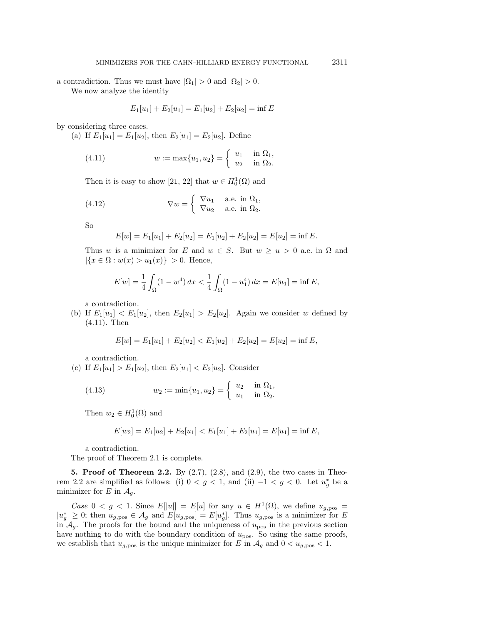a contradiction. Thus we must have  $|\Omega_1| > 0$  and  $|\Omega_2| > 0$ .

We now analyze the identity

$$
E_1[u_1] + E_2[u_1] = E_1[u_2] + E_2[u_2] = \inf E
$$

by considering three cases.

(a) If  $E_1[u_1] = E_1[u_2]$ , then  $E_2[u_1] = E_2[u_2]$ . Define

<span id="page-12-1"></span>(4.11) 
$$
w := \max\{u_1, u_2\} = \begin{cases} u_1 & \text{in } \Omega_1, \\ u_2 & \text{in } \Omega_2. \end{cases}
$$

Then it is easy to show [\[21,](#page-17-17) [22\]](#page-17-21) that  $w \in H_0^1(\Omega)$  and

(4.12) 
$$
\nabla w = \begin{cases} \nabla u_1 & \text{a.e. in } \Omega_1, \\ \nabla u_2 & \text{a.e. in } \Omega_2. \n\end{cases}
$$

 $\mathrm{So}$ 

$$
E[w] = E_1[u_1] + E_2[u_2] = E_1[u_2] + E_2[u_2] = E[u_2] = \inf E.
$$

Thus w is a minimizer for E and  $w \in S$ . But  $w \ge u > 0$  a.e. in  $\Omega$  and  $| \{ x \in \Omega : w(x) > u_1(x)\} | > 0. \mathrm{Hence},\$ 

$$
E[w] = \frac{1}{4} \int_{\Omega} (1 - w^4) \, dx < \frac{1}{4} \int_{\Omega} (1 - u_1^4) \, dx = E[u_1] = \inf E,
$$

 $\times$  contradiction.

(b) If  $E_1[u_1] < E_1[u_2]$ , then  $E_2[u_1] > E_2[u_2]$ . Again we consider w defined by  $(4.11)$ . Then

$$
E[w] = E_1[u_1] + E_2[u_2] < E_1[u_2] + E_2[u_2] = E[u_2] = \inf E,
$$

 $\mathrm{a}\mathrm{}\mathrm{}\mathrm{contradiction}.$ 

(c) If  $E_1[u_1] > E_1[u_2]$ , then  $E_2[u_1] < E_2[u_2]$ . Consider

(4.13) 
$$
w_2 := \min\{u_1, u_2\} = \begin{cases} u_2 & \text{in } \Omega_1, \\ u_1 & \text{in } \Omega_2. \end{cases}
$$

Then  $w_2 \in H_0^1(\Omega)$  and

$$
E[w_2] = E_1[u_2] + E_2[u_1] < E_1[u_1] + E_2[u_1] = E[u_1] = \inf E,
$$

 $\times$  contradiction.

The proof of Theorem [2.1](#page-3-0) is complete.

<span id="page-12-0"></span>5. Proof of Theorem [2.2.](#page-4-3) By  $(2.7)$ ,  $(2.8)$ , and  $(2.9)$ , the two cases in Theo-rem [2.2](#page-4-3) are simplified as follows: (i)  $0 < g < 1$ , and (ii)  $-1 < g < 0$ . Let  $u_g^*$  be a  $\mathrm{min}\mathrm{imizer}$  for E in  $\mathcal{A}_q$ .

Case  $0 < g < 1$ . Since  $E[|u|] = E[u]$  for any  $u \in H^1(\Omega)$ , we define  $u_{g, \text{pos}} =$  $|u_g^*| \geq 0$ ; then  $u_{g,\text{pos}} \in \mathcal{A}_g$  and  $E[u_{g,\text{pos}}] = E[u_g^*]$ . Thus  $u_{g,\text{pos}}$  is a minimizer for E in  $\mathcal{A}_q$ . The proofs for the bound and the uniqueness of  $u_{\text{pos}}$  in the previous section have nothing to do with the boundary condition of  $u_{\text{pos}}$ . So using the same proofs, we establish that  $u_{g,pos}$  is the unique minimizer for E in  $\mathcal{A}_g$  and  $0 < u_{g,pos} < 1$ .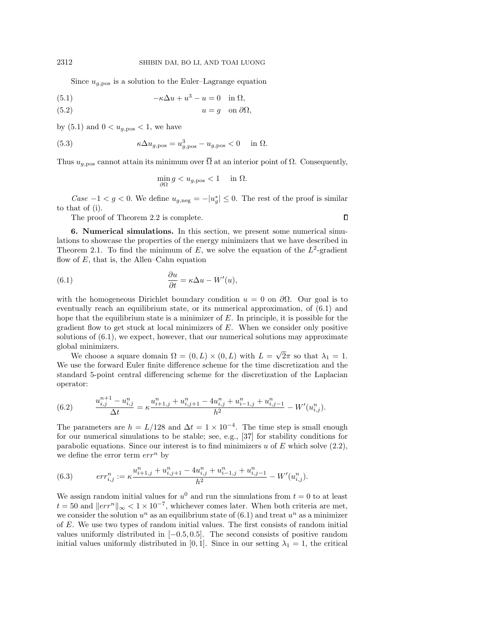Since  $u_{q, \text{pos}}$  is a solution to the Euler-Lagrange equation

<span id="page-13-1"></span>(5.1) 
$$
-\kappa \Delta u + u^3 - u = 0 \quad \text{in } \Omega,
$$

$$
(5.2) \t\t u = g \t on \partial\Omega,
$$

by [\(5.1\)](#page-13-1) and  $0 < u_{g,\mathrm{pos}} < 1$ , we have

(5.3) 
$$
\kappa \Delta u_{g,\text{pos}} = u_{g,\text{pos}}^3 - u_{g,\text{pos}} < 0 \quad \text{in } \Omega.
$$

Thus  $u_{q, \text{pos}}$  cannot attain its minimum over  $\overline{\Omega}$  at an interior point of  $\Omega$ . Consequently,

$$
\min_{\partial \Omega} g < u_{g,\text{pos}} < 1 \quad \text{ in } \Omega.
$$

Case  $-1 < g < 0$ . We define  $u_{g,\text{neg}} = -|u_g^*| \leq 0$ . The rest of the proof is similar to that of (i).

 $\Box$ 

The proof of Theorem [2.2](#page-4-3) is complete.

<span id="page-13-0"></span>**6. Numerical simulations.** In this section, we present some numerical simulations to showcase the properties of the energy minimizers that we have described in Theorem [2.1.](#page-3-0) To find the minimum of E, we solve the equation of the  $L^2$ -gradient flow of  $E$ , that is, the Allen-Cahn equation

<span id="page-13-2"></span>(6.1) 
$$
\frac{\partial u}{\partial t} = \kappa \Delta u - W'(u),
$$

with the homogeneous Dirichlet boundary condition  $u = 0$  on  $\partial\Omega$ . Our goal is to eventually reach an equilibrium state, or its numerical approximation, of  $(6.1)$  and hope that the equilibrium state is a minimizer of  $E$ . In principle, it is possible for the gradient flow to get stuck at local minimizers of  $E$ . When we consider only positive solutions of  $(6.1)$ , we expect, however, that our numerical solutions may approximate  $\mathrm{global}\:\mathrm{min}\mathrm{iniz}\mathrm{ers}.$  $\overline{\phantom{a}}$ 

We choose a square domain  $\Omega = (0, L) \times (0, L)$  with  $L =$  $2\pi$  so that  $\lambda_1 = 1$ . We use the forward Euler finite difference scheme for the time discretization and the standard 5-point central differencing scheme for the discretization of the Laplacian  $\mathrm{operator}$ :

(6.2) 
$$
\frac{u_{i,j}^{n+1} - u_{i,j}^n}{\Delta t} = \kappa \frac{u_{i+1,j}^n + u_{i,j+1}^n - 4u_{i,j}^n + u_{i-1,j}^n + u_{i,j-1}^n}{h^2} - W'(u_{i,j}^n).
$$

The parameters are  $h = L/128$  and  $\Delta t = 1 \times 10^{-4}$ . The time step is small enough for our numerical simulations to be stable; see, e.g., [\[37\]](#page-18-15) for stability conditions for parabolic equations. Since our interest is to find minimizers u of E which solve  $(2.2)$ , we define the error term  $\mathrm{err}^n$  by

(6.3) 
$$
err_{i,j}^{n} := \kappa \frac{u_{i+1,j}^{n} + u_{i,j+1}^{n} - 4u_{i,j}^{n} + u_{i-1,j}^{n} + u_{i,j-1}^{n}}{h^{2}} - W'(u_{i,j}^{n}).
$$

We assign random initial values for  $u^0$  and run the simulations from  $t = 0$  to at least  $t = 50$  and  $||err^n||_{\infty} < 1 \times 10^{-7}$ , whichever comes later. When both criteria are met, we consider the solution  $u^n$  as an equilibrium state of  $(6.1)$  and treat  $u^n$  as a minimizer of  $E$ . We use two types of random initial values. The first consists of random initial values uniformly distributed in  $[-0.5, 0.5]$ . The second consists of positive random initial values uniformly distributed in [0, 1]. Since in our setting  $\lambda_1 = 1$ , the critical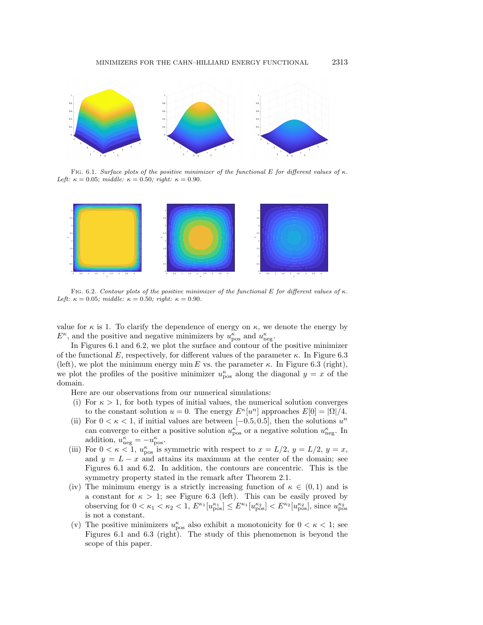<span id="page-14-0"></span>

FIG. 6.1. Surface plots of the positive minimizer of the functional E for different values of  $\kappa$ . Left:  $\kappa = 0.05$ ; middle:  $\kappa = 0.50$ ; right:  $\kappa = 0.90$ .

<span id="page-14-1"></span>

FIG. 6.2. Contour plots of the positive minimizer of the functional E for different values of  $\kappa$ . Left:  $\kappa = 0.05$ ; middle:  $\kappa = 0.50$ ; right:  $\kappa = 0.90$ .

value for  $\kappa$  is 1. To clarify the dependence of energy on  $\kappa$ , we denote the energy by  $E^{\kappa}$ , and the positive and negative minimizers by  $u_{\text{pos}}^{\kappa}$  and  $u_{\text{neg}}^{\kappa}$ .

In Figures [6.1](#page-14-0) and [6.2,](#page-14-1) we plot the surface and contour of the positive minimizer of the functional E, respectively, for different values of the parameter  $\kappa$ . In Figure [6.3](#page-15-0) (left), we plot the minimum energy min E vs. the parameter  $\kappa$ . In Figure [6.3](#page-15-0) (right), we plot the profiles of the positive minimizer  $u_{\text{pos}}^{\kappa}$  along the diagonal  $y = x$  of the  $\mathrm{domain}.$ 

Here are our observations from our numerical simulations:

- (i) For  $\kappa > 1$ , for both types of initial values, the numerical solution converges to the constant solution  $u = 0$ . The energy  $E^{\kappa}[u^n]$  approaches  $E[0] = |\Omega|/4$ .
- (ii) For  $0 < \kappa < 1$ , if initial values are between [-0.5, 0.5], then the solutions  $u^n$ can converge to either a positive solution  $u_{\text{pos}}^{\kappa}$  or a negative solution  $u_{\text{neg}}^{\kappa}$ . In  $\mathrm{addition}, u_{\mathrm{neg}}^{\kappa} = - u_{\mathrm{pos}}^{\kappa}.$
- (iii) For  $0 < \kappa < 1$ ,  $u_{\text{pos}}^{\kappa}$  is symmetric with respect to  $x = L/2$ ,  $y = L/2$ ,  $y = x$ , and  $y = L - x$  and attains its maximum at the center of the domain; see Figures [6.1](#page-14-0) and [6.2.](#page-14-1) In addition, the contours are concentric. This is the symmetry property stated in the remark after Theorem [2.1.](#page-3-0)
- (iv) The minimum energy is a strictly increasing function of  $\kappa \in (0,1)$  and is a constant for  $\kappa > 1$ ; see Figure [6.3](#page-15-0) (left). This can be easily proved by observing for  $0 < \kappa_1 < \kappa_2 < 1$ ,  $E^{\kappa_1}[u_{\text{pos}}^{\kappa_1}] \leq E^{\kappa_1}[u_{\text{pos}}^{\kappa_2}] < E^{\kappa_2}[u_{\text{pos}}^{\kappa_2}]$ , since  $u_{\text{pos}}^{\kappa_2}$  $\mathrm{is} \mathrm{\; not} \mathrm{\; a}\mathrm{\; constant}.$
- (v) The positive minimizers  $u_{\text{pos}}^{\kappa}$  also exhibit a monotonicity for  $0 < \kappa < 1$ ; see Figures [6.1](#page-14-0) and [6.3](#page-15-0) (right). The study of this phenomenon is beyond the  $\mathrm{scope\;of\;this\;paper.}$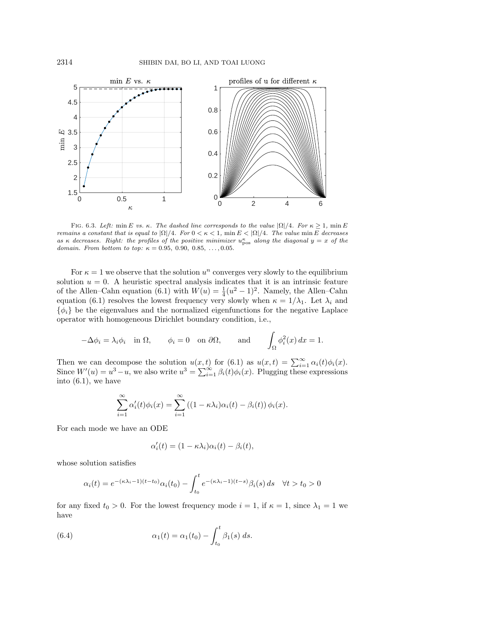<span id="page-15-0"></span>

FIG. 6.3. Left: min E vs.  $\kappa$ . The dashed line corresponds to the value  $|\Omega | /4$ . For  $\kappa \geq 1$ , min E remains a constant that is equal to  $|\Omega | /4$ . For  $0 < \kappa < 1$ , min  $E < |\Omega | /4$ . The value min E decreases as  $\kappa$  decreases. Right: the profiles of the positive minimizer  $u_{\text{pos}}^{\kappa}$  along the diagonal  $y = x$  of the domain. From bottom to top:  $\kappa = 0.95, 0.90, 0.85, ..., 0.05$ .

For  $\kappa = 1$  we observe that the solution  $u^n$  converges very slowly to the equilibrium solution  $u = 0$ . A heuristic spectral analysis indicates that it is an intrinsic feature of the Allen-Cahn equation [\(6.1\)](#page-13-2) with  $W(u) = \frac{1}{4}(u^2 - 1)^2$ . Namely, the Allen-Cahn equation [\(6.1\)](#page-13-2) resolves the lowest frequency very slowly when  $\kappa = 1/\lambda_1$ . Let  $\lambda_i$  and  $\{\phi_i\}$  be the eigenvalues and the normalized eigenfunctions for the negative Laplace operator with homogeneous Dirichlet boundary condition, i.e.,

$$
-\Delta \phi_i = \lambda_i \phi_i \quad \text{in } \Omega, \qquad \phi_i = 0 \quad \text{on } \partial \Omega, \qquad \text{and} \qquad \int_{\Omega} \phi_i^2(x) \, dx = 1.
$$

Then we can decompose the solution  $u(x,t)$  for [\(6.1\)](#page-13-2) as  $u(x,t) = \sum_{i=1}^{\infty} \alpha_i(t)\phi_i(x)$ . Since  $W'(u) = u^3 - u$ , we also write  $u^3 = \sum_{i=1}^{\infty} \beta_i(t) \phi_i(x)$ . Plugging these expressions  $\mathrm{into} \ (6.1), \mathrm{we} \ \mathrm{have}$  $\mathrm{into} \ (6.1), \mathrm{we} \ \mathrm{have}$  $\mathrm{into} \ (6.1), \mathrm{we} \ \mathrm{have}$ 

$$
\sum_{i=1}^{\infty} \alpha'_i(t)\phi_i(x) = \sum_{i=1}^{\infty} \left( (1 - \kappa \lambda_i)\alpha_i(t) - \beta_i(t) \right) \phi_i(x).
$$

For each mode we have an ODE

$$
\alpha_i'(t) = (1 - \kappa \lambda_i)\alpha_i(t) - \beta_i(t),
$$

whose solution satisfies

$$
\alpha_i(t) = e^{-(\kappa \lambda_i - 1)(t - t_0)} \alpha_i(t_0) - \int_{t_0}^t e^{-(\kappa \lambda_i - 1)(t - s)} \beta_i(s) \, ds \quad \forall t > t_0 > 0
$$

for any fixed  $t_0 > 0$ . For the lowest frequency mode  $i = 1$ , if  $\kappa = 1$ , since  $\lambda_1 = 1$  we  $\mathrm{have}$ 

<span id="page-15-1"></span>(6.4) 
$$
\alpha_1(t) = \alpha_1(t_0) - \int_{t_0}^t \beta_1(s) \ ds.
$$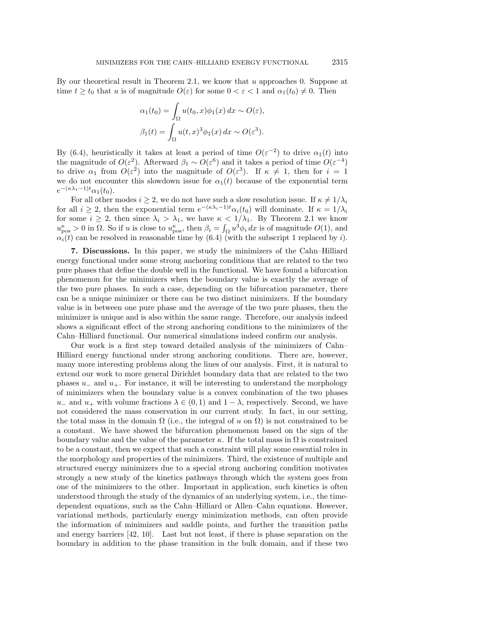By our theoretical result in Theorem [2.1,](#page-3-0) we know that  $u$  approaches 0. Suppose at time  $t \geq t_0$  that u is of magnitude  $O(\varepsilon)$  for some  $0 < \varepsilon < 1$  and  $\alpha_1(t_0) \neq 0$ . Then

$$
\alpha_1(t_0) = \int_{\Omega} u(t_0, x)\phi_1(x) dx \sim O(\varepsilon),
$$

$$
\beta_1(t) = \int_{\Omega} u(t, x)^3 \phi_1(x) dx \sim O(\varepsilon^3).
$$

By [\(6.4\)](#page-15-1), heuristically it takes at least a period of time  $O(\varepsilon^{-2})$  to drive  $\alpha_1(t)$  into the magnitude of  $O(\varepsilon^2)$ . Afterward  $\beta_1 \sim O(\varepsilon^6)$  and it takes a period of time  $O(\varepsilon^{-4})$ to drive  $\alpha_1$  from  $O(\varepsilon^2)$  into the magnitude of  $O(\varepsilon^3)$ . If  $\kappa \neq 1$ , then for  $i = 1$ we do not encounter this slowdown issue for  $\alpha_1(t)$  because of the exponential term  $e^{-(\kappa \lambda_1 - 1)t} \alpha_1(t_0).$ 

For all other modes  $i \geq 2$ , we do not have such a slow resolution issue. If  $\kappa \neq 1/\lambda_i$ for all  $i \geq 2$ , then the exponential term  $e^{-(\kappa\lambda_i-1)t}\alpha_i(t_0)$  will dominate. If  $\kappa = 1/\lambda_i$ for some  $i \geq 2$ , then since  $\lambda_i > \lambda_1$ , we have  $\kappa < 1/\lambda_1$ . By Theorem [2.1](#page-3-0) we know  $u_{\text{pos}}^{\kappa} > 0$  in  $\Omega$ . So if u is close to  $u_{\text{pos}}^{\kappa}$ , then  $\beta_i = \int_{\Omega} u^3 \phi_i dx$  is of magnitude  $O(1)$ , and  $\alpha_i(t)$  can be resolved in reasonable time by [\(6.4\)](#page-15-1) (with the subscript 1 replaced by i).

<span id="page-16-0"></span>**7.** Discussions. In this paper, we study the minimizers of the Cahn–Hilliard energy functional under some strong anchoring conditions that are related to the two pure phases that define the double well in the functional. We have found a bifurcation phenomenon for the minimizers when the boundary value is exactly the average of the two pure phases. In such a case, depending on the bifurcation parameter, there can be a unique minimizer or there can be two distinct minimizers. If the boundary value is in between one pure phase and the average of the two pure phases, then the minimizer is unique and is also within the same range. Therefore, our analysis indeed shows a significant effect of the strong anchoring conditions to the minimizers of the Cahn-Hilliard functional. Our numerical simulations indeed confirm our analysis.

Our work is a first step toward detailed analysis of the minimizers of Cahn-Hilliard energy functional under strong anchoring conditions. There are, however, many more interesting problems along the lines of our analysis. First, it is natural to extend our work to more general Dirichlet boundary data that are related to the two phases  $u_{-}$  and  $u_{+}$ . For instance, it will be interesting to understand the morphology of minimizers when the boundary value is a convex combination of the two phases  $u_{-}$  and  $u_{+}$  with volume fractions  $\lambda \in (0,1)$  and  $1-\lambda$ , respectively. Second, we have not considered the mass conservation in our current study. In fact, in our setting, the total mass in the domain  $\Omega$  (i.e., the integral of u on  $\Omega$ ) is not constrained to be a constant. We have showed the bifurcation phenomenon based on the sign of the boundary value and the value of the parameter  $\kappa$ . If the total mass in  $\Omega$  is constrained to be a constant, then we expect that such a constraint will play some essential roles in the morphology and properties of the minimizers. Third, the existence of multiple and structured energy minimizers due to a special strong anchoring condition motivates strongly a new study of the kinetics pathways through which the system goes from one of the minimizers to the other. Important in application, such kinetics is often understood through the study of the dynamics of an underlying system, i.e., the timedependent equations, such as the Cahn-Hilliard or Allen-Cahn equations. However, variational methods, particularly energy minimization methods, can often provide the information of minimizers and saddle points, and further the transition paths and energy barriers  $[42, 10]$  $[42, 10]$ . Last but not least, if there is phase separation on the boundary in addition to the phase transition in the bulk domain, and if these two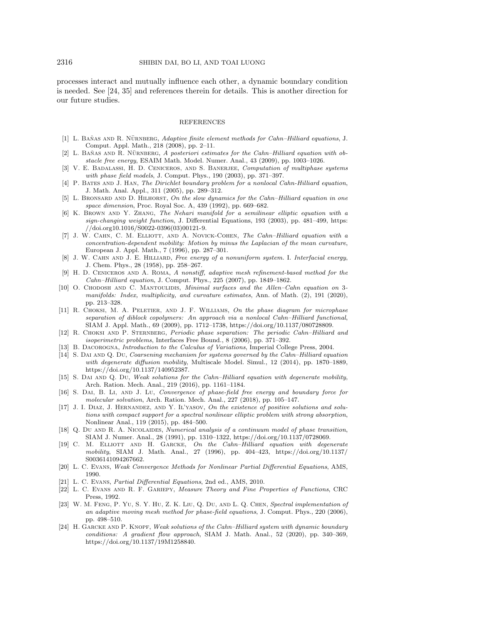processes interact and mutually influence each other, a dynamic boundary condition is needed. See  $[24, 35]$  $[24, 35]$  and references therein for details. This is another direction for  $\mathrm{our}\ \mathrm{future}\ \mathrm{studies}.$ 

## REFERENCES

- <span id="page-17-3"></span>[1] L. BANAS AND R. NÜRNBERG, Adaptive finite element methods for Cahn-Hilliard equations, J. Comput. Appl. Math., 218 (2008), pp. 2–11.
- <span id="page-17-4"></span> $[2]$  L. BANAS AND R. NURNBERG, A posteriori estimates for the Cahn-Hilliard equation with obstacle free energy, ESAIM Math. Model. Numer. Anal.,  $43$  (2009), pp. 1003–1026.
- <span id="page-17-2"></span>[3] V. E. BADALASSI, H. D. CENICEROS, AND S. BANERJEE, Computation of multiphase systems with phase field models, J. Comput. Phys.,  $190$   $(2003)$ , pp.  $371-397$ .
- <span id="page-17-15"></span>[4] P. BATES AND J. HAN, The Dirichlet boundary problem for a nonlocal Cahn-Hilliard equation, J. Math. Anal. Appl., 311 (2005), pp. 289-312.
- <span id="page-17-14"></span>[5] L. BRONSARD AND D. HILHORST, On the slow dynamics for the Cahn-Hilliard equation in one space dimension, Proc. Royal Soc. A, 439 (1992), pp. 669-682.
- <span id="page-17-19"></span>[6] K. Brown and Y. Zhang, The Nehari manifold for a semilinear elliptic equation with a sign-changing weight function, J. Differential Equations, 193 (2003), pp. 481-499, [https:](https://doi.org10.1016/S0022-0396(03)00121-9) [//doi.org10.1016/S0022-0396\(03\)00121-9.](https://doi.org10.1016/S0022-0396(03)00121-9)
- <span id="page-17-5"></span>[7] J. W. CAHN, C. M. ELLIOTT, AND A. NOVICK-COHEN, The Cahn-Hilliard equation with a concentration-dependent mobility: Motion by minus the Laplacian of the mean curvature, European J. Appl. Math., 7 (1996), pp. 287-301.
- <span id="page-17-0"></span>[8] J. W. CAHN AND J. E. HILLIARD, Free energy of a nonuniform system. I. Interfacial energy, J. Chem. Phys., 28 (1958), pp. 258-267.
- <span id="page-17-7"></span>[9] H. D. Ceniceros and A. Roma, A nonstiff, adaptive mesh refinement-based method for the Cahn-Hilliard equation, J. Comput. Phys., 225 (2007), pp. 1849-1862.
- <span id="page-17-22"></span>[10] O. CHODOSH AND C. MANTOULIDIS, *Minimal surfaces and the Allen-Cahn equation on* 3manifolds: Index, multiplicity, and curvature estimates, Ann. of Math. (2), 191 (2020), pp. 213--328.
- <span id="page-17-8"></span>[11] R. CHOKSI, M. A. PELETIER, AND J. F. WILLIAMS, On the phase diagram for microphase separation of diblock copolymers: An approach via a nonlocal Cahn-Hilliard functional, SIAM J. Appl. Math., 69 (2009), pp. 1712-1738, [https://doi.org/10.1137/080728809.](https://doi.org/10.1137/080728809)
- <span id="page-17-12"></span>[12] R. CHOKSI AND P. STERNBERG, Periodic phase separation: The periodic Cahn-Hilliard and  $isoperimetric\ problems, Interfaces\ Free\ Bound., 8\ (2006), pp.$  371-392.
- <span id="page-17-20"></span>[13] B. DACOROGNA, *Introduction to the Calculus of Variations*, Imperial College Press, 2004.
- <span id="page-17-9"></span>[14] S. DAI AND Q. DU, Coarsening mechanism for systems governed by the Cahn-Hilliard equation with degenerate diffusion mobility, Multiscale Model. Simul.,  $12$  (2014), pp. 1870–1889, [https://doi.org/10.1137/140952387.](https://doi.org/10.1137/140952387)
- <span id="page-17-10"></span>[15] S. DAI AND Q. DU, Weak solutions for the Cahn-Hilliard equation with degenerate mobility, Arch. Ration. Mech. Anal., 219 (2016), pp. 1161-1184.
- <span id="page-17-1"></span>[16] S. Dai, B. Li, and J. Lu, Convergence of phase-field free energy and boundary force for molecular solvation, Arch. Ration. Mech. Anal., 227 (2018), pp. 105-147.
- <span id="page-17-18"></span>[17] J. I. DIAZ, J. HERNANDEZ, AND Y. IL'YASOV, On the existence of positive solutions and solutions with compact support for a spectral nonlinear elliptic problem with strong absorption, Nonlinear Anal., 119 (2015), pp. 484-500.
- <span id="page-17-13"></span>[18] Q. Du AND R. A. NICOLAIDES, *Numerical analysis of a continuum model of phase transition*, SIAM J. Numer. Anal., 28 (1991), pp. 1310-1322, [https://doi.org/10.1137/0728069.](https://doi.org/10.1137/0728069)
- <span id="page-17-6"></span>[19] C. M. ELLIOTT AND H. GARCKE, On the Cahn-Hilliard equation with degenerate mobility, SIAM J. Math. Anal., 27 (1996), pp.  $404-423$ , [https://doi.org/10.1137/](https://doi.org/10.1137/S0036141094267662) [S0036141094267662.](https://doi.org/10.1137/S0036141094267662)
- <span id="page-17-16"></span>[20] L. C. Evans, Weak Convergence Methods for Nonlinear Partial Differential Equations, AMS, 1990.
- <span id="page-17-17"></span>[21] L. C. Evans, Partial Differential Equations, 2nd ed., AMS, 2010.
- <span id="page-17-21"></span>[22] L. C. Evans and R. F. Gariepy, Measure Theory and Fine Properties of Functions, CRC Press, 1992.
- <span id="page-17-11"></span>[23] W. M. Feng, P. Yu, S. Y. Hu, Z. K. Liu, Q. Du, and L. Q. Chen, Spectral implementation of an adaptive moving mesh method for phase-field equations, J. Comput. Phys., 220 (2006), pp. 498-510.
- <span id="page-17-23"></span>[24] H. GARCKE AND P. KNOPF, Weak solutions of the Cahn-Hilliard system with dynamic boundary conditions: A gradient flow approach, SIAM J. Math. Anal., 52 (2020), pp. 340-369, [https://doi.org/10.1137/19M1258840.](https://doi.org/10.1137/19M1258840)